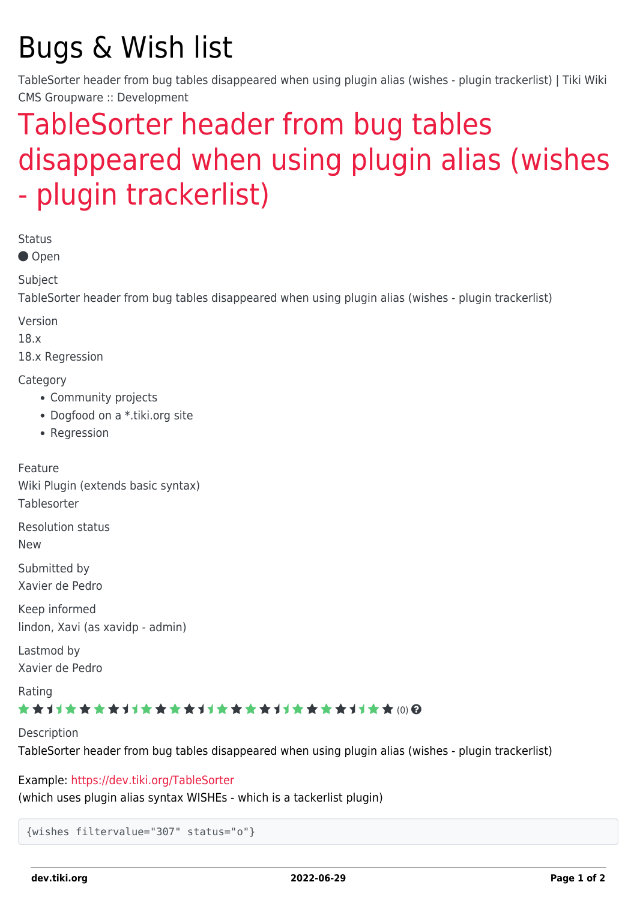# Bugs & Wish list

TableSorter header from bug tables disappeared when using plugin alias (wishes - plugin trackerlist) | Tiki Wiki CMS Groupware :: Development

## [TableSorter header from bug tables](https://dev.tiki.org/item6669-TableSorter-header-from-bug-tables-disappeared-when-using-plugin-alias-wishes-plugin-trackerlist) [disappeared when using plugin alias \(wishes](https://dev.tiki.org/item6669-TableSorter-header-from-bug-tables-disappeared-when-using-plugin-alias-wishes-plugin-trackerlist) [- plugin trackerlist\)](https://dev.tiki.org/item6669-TableSorter-header-from-bug-tables-disappeared-when-using-plugin-alias-wishes-plugin-trackerlist)

Status

● Open

Subject

TableSorter header from bug tables disappeared when using plugin alias (wishes - plugin trackerlist)

Version

18.x

18.x Regression

**Category** 

- Community projects
- Dogfood on a \*.tiki.org site
- Regression

Feature Wiki Plugin (extends basic syntax) **Tablesorter** Resolution status New Submitted by Xavier de Pedro

Keep informed lindon, Xavi (as xavidp - admin)

Lastmod by Xavier de Pedro

Rating

#### ★★11★★★★11★★★★11★★★★11★★★★+11★★ @@

Description TableSorter header from bug tables disappeared when using plugin alias (wishes - plugin trackerlist)

Example:<https://dev.tiki.org/TableSorter>

(which uses plugin alias syntax WISHEs - which is a tackerlist plugin)

```
{wishes filtervalue="307" status="o"}
```